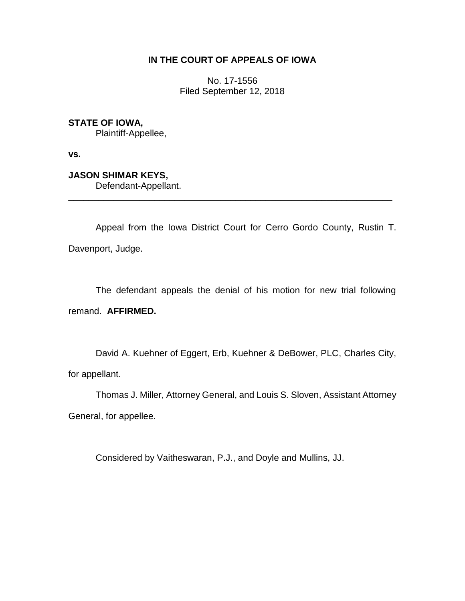## **IN THE COURT OF APPEALS OF IOWA**

No. 17-1556 Filed September 12, 2018

**STATE OF IOWA,**

Plaintiff-Appellee,

**vs.**

**JASON SHIMAR KEYS,** Defendant-Appellant.

Appeal from the Iowa District Court for Cerro Gordo County, Rustin T. Davenport, Judge.

\_\_\_\_\_\_\_\_\_\_\_\_\_\_\_\_\_\_\_\_\_\_\_\_\_\_\_\_\_\_\_\_\_\_\_\_\_\_\_\_\_\_\_\_\_\_\_\_\_\_\_\_\_\_\_\_\_\_\_\_\_\_\_\_

The defendant appeals the denial of his motion for new trial following remand. **AFFIRMED.**

David A. Kuehner of Eggert, Erb, Kuehner & DeBower, PLC, Charles City, for appellant.

Thomas J. Miller, Attorney General, and Louis S. Sloven, Assistant Attorney General, for appellee.

Considered by Vaitheswaran, P.J., and Doyle and Mullins, JJ.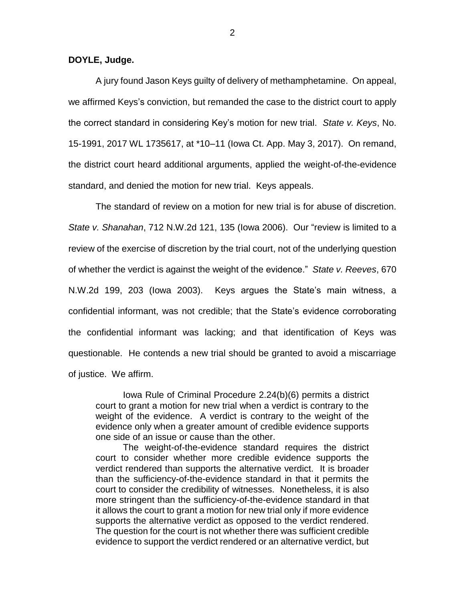**DOYLE, Judge.**

A jury found Jason Keys guilty of delivery of methamphetamine. On appeal, we affirmed Keys's conviction, but remanded the case to the district court to apply the correct standard in considering Key's motion for new trial. *State v. Keys*, No. 15-1991, 2017 WL 1735617, at \*10–11 (Iowa Ct. App. May 3, 2017). On remand, the district court heard additional arguments, applied the weight-of-the-evidence standard, and denied the motion for new trial. Keys appeals.

The standard of review on a motion for new trial is for abuse of discretion. *State v. Shanahan*, 712 N.W.2d 121, 135 (Iowa 2006). Our "review is limited to a review of the exercise of discretion by the trial court, not of the underlying question of whether the verdict is against the weight of the evidence." *State v. Reeves*, 670 N.W.2d 199, 203 (Iowa 2003). Keys argues the State's main witness, a confidential informant, was not credible; that the State's evidence corroborating the confidential informant was lacking; and that identification of Keys was questionable. He contends a new trial should be granted to avoid a miscarriage of justice. We affirm.

Iowa Rule of Criminal Procedure 2.24(b)(6) permits a district court to grant a motion for new trial when a verdict is contrary to the weight of the evidence. A verdict is contrary to the weight of the evidence only when a greater amount of credible evidence supports one side of an issue or cause than the other.

The weight-of-the-evidence standard requires the district court to consider whether more credible evidence supports the verdict rendered than supports the alternative verdict. It is broader than the sufficiency-of-the-evidence standard in that it permits the court to consider the credibility of witnesses. Nonetheless, it is also more stringent than the sufficiency-of-the-evidence standard in that it allows the court to grant a motion for new trial only if more evidence supports the alternative verdict as opposed to the verdict rendered. The question for the court is not whether there was sufficient credible evidence to support the verdict rendered or an alternative verdict, but

2